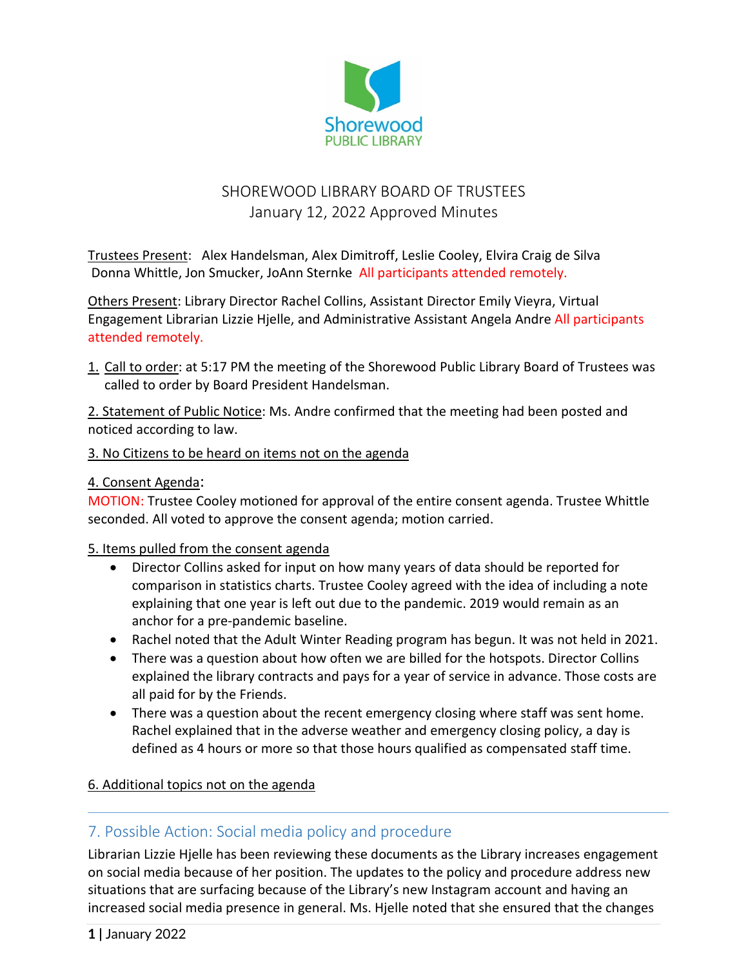

# SHOREWOOD LIBRARY BOARD OF TRUSTEES January 12, 2022 Approved Minutes

Trustees Present: Alex Handelsman, Alex Dimitroff, Leslie Cooley, Elvira Craig de Silva Donna Whittle, Jon Smucker, JoAnn Sternke All participants attended remotely.

Others Present: Library Director Rachel Collins, Assistant Director Emily Vieyra, Virtual Engagement Librarian Lizzie Hjelle, and Administrative Assistant Angela Andre All participants attended remotely.

1. Call to order: at 5:17 PM the meeting of the Shorewood Public Library Board of Trustees was called to order by Board President Handelsman.

2. Statement of Public Notice: Ms. Andre confirmed that the meeting had been posted and noticed according to law.

#### 3. No Citizens to be heard on items not on the agenda

#### 4. Consent Agenda:

MOTION: Trustee Cooley motioned for approval of the entire consent agenda. Trustee Whittle seconded. All voted to approve the consent agenda; motion carried.

#### 5. Items pulled from the consent agenda

- Director Collins asked for input on how many years of data should be reported for comparison in statistics charts. Trustee Cooley agreed with the idea of including a note explaining that one year is left out due to the pandemic. 2019 would remain as an anchor for a pre-pandemic baseline.
- Rachel noted that the Adult Winter Reading program has begun. It was not held in 2021.
- There was a question about how often we are billed for the hotspots. Director Collins explained the library contracts and pays for a year of service in advance. Those costs are all paid for by the Friends.
- There was a question about the recent emergency closing where staff was sent home. Rachel explained that in the adverse weather and emergency closing policy, a day is defined as 4 hours or more so that those hours qualified as compensated staff time.

#### 6. Additional topics not on the agenda

## 7. Possible Action: Social media policy and procedure

Librarian Lizzie Hjelle has been reviewing these documents as the Library increases engagement on social media because of her position. The updates to the policy and procedure address new situations that are surfacing because of the Library's new Instagram account and having an increased social media presence in general. Ms. Hjelle noted that she ensured that the changes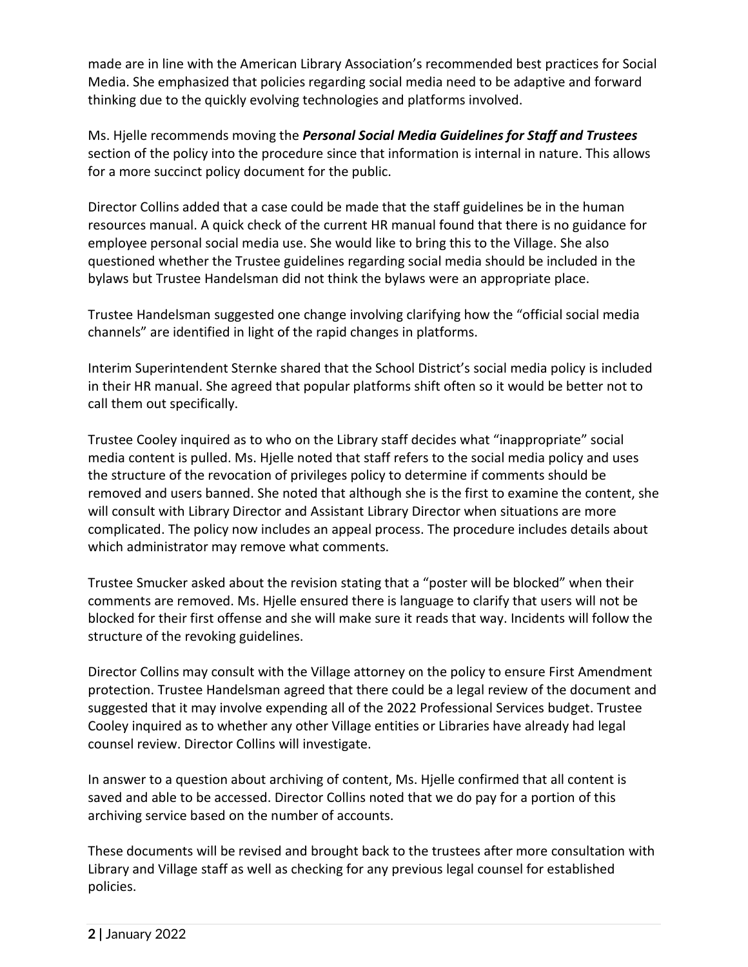made are in line with the American Library Association's recommended best practices for Social Media. She emphasized that policies regarding social media need to be adaptive and forward thinking due to the quickly evolving technologies and platforms involved.

Ms. Hjelle recommends moving the *Personal Social Media Guidelines for Staff and Trustees* section of the policy into the procedure since that information is internal in nature. This allows for a more succinct policy document for the public.

Director Collins added that a case could be made that the staff guidelines be in the human resources manual. A quick check of the current HR manual found that there is no guidance for employee personal social media use. She would like to bring this to the Village. She also questioned whether the Trustee guidelines regarding social media should be included in the bylaws but Trustee Handelsman did not think the bylaws were an appropriate place.

Trustee Handelsman suggested one change involving clarifying how the "official social media channels" are identified in light of the rapid changes in platforms.

Interim Superintendent Sternke shared that the School District's social media policy is included in their HR manual. She agreed that popular platforms shift often so it would be better not to call them out specifically.

Trustee Cooley inquired as to who on the Library staff decides what "inappropriate" social media content is pulled. Ms. Hjelle noted that staff refers to the social media policy and uses the structure of the revocation of privileges policy to determine if comments should be removed and users banned. She noted that although she is the first to examine the content, she will consult with Library Director and Assistant Library Director when situations are more complicated. The policy now includes an appeal process. The procedure includes details about which administrator may remove what comments.

Trustee Smucker asked about the revision stating that a "poster will be blocked" when their comments are removed. Ms. Hjelle ensured there is language to clarify that users will not be blocked for their first offense and she will make sure it reads that way. Incidents will follow the structure of the revoking guidelines.

Director Collins may consult with the Village attorney on the policy to ensure First Amendment protection. Trustee Handelsman agreed that there could be a legal review of the document and suggested that it may involve expending all of the 2022 Professional Services budget. Trustee Cooley inquired as to whether any other Village entities or Libraries have already had legal counsel review. Director Collins will investigate.

In answer to a question about archiving of content, Ms. Hjelle confirmed that all content is saved and able to be accessed. Director Collins noted that we do pay for a portion of this archiving service based on the number of accounts.

These documents will be revised and brought back to the trustees after more consultation with Library and Village staff as well as checking for any previous legal counsel for established policies.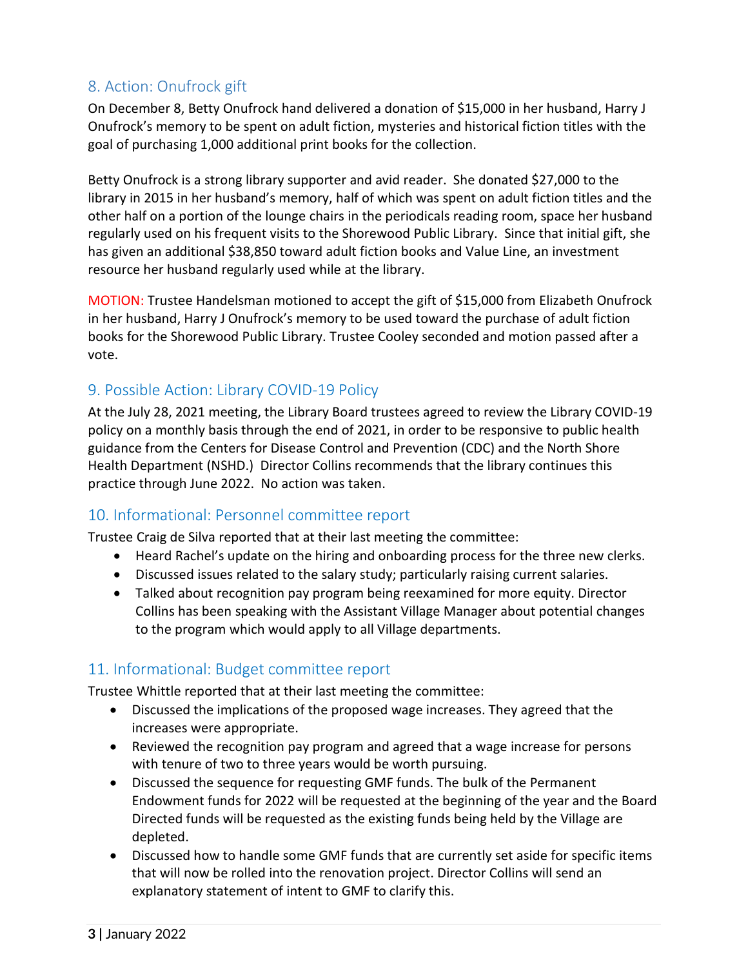## 8. Action: Onufrock gift

On December 8, Betty Onufrock hand delivered a donation of \$15,000 in her husband, Harry J Onufrock's memory to be spent on adult fiction, mysteries and historical fiction titles with the goal of purchasing 1,000 additional print books for the collection.

Betty Onufrock is a strong library supporter and avid reader. She donated \$27,000 to the library in 2015 in her husband's memory, half of which was spent on adult fiction titles and the other half on a portion of the lounge chairs in the periodicals reading room, space her husband regularly used on his frequent visits to the Shorewood Public Library. Since that initial gift, she has given an additional \$38,850 toward adult fiction books and Value Line, an investment resource her husband regularly used while at the library.

MOTION: Trustee Handelsman motioned to accept the gift of \$15,000 from Elizabeth Onufrock in her husband, Harry J Onufrock's memory to be used toward the purchase of adult fiction books for the Shorewood Public Library. Trustee Cooley seconded and motion passed after a vote.

## 9. Possible Action: Library COVID-19 Policy

At the July 28, 2021 meeting, the Library Board trustees agreed to review the Library COVID-19 policy on a monthly basis through the end of 2021, in order to be responsive to public health guidance from the Centers for Disease Control and Prevention (CDC) and the North Shore Health Department (NSHD.) Director Collins recommends that the library continues this practice through June 2022. No action was taken.

## 10. Informational: Personnel committee report

Trustee Craig de Silva reported that at their last meeting the committee:

- Heard Rachel's update on the hiring and onboarding process for the three new clerks.
- Discussed issues related to the salary study; particularly raising current salaries.
- Talked about recognition pay program being reexamined for more equity. Director Collins has been speaking with the Assistant Village Manager about potential changes to the program which would apply to all Village departments.

## 11. Informational: Budget committee report

Trustee Whittle reported that at their last meeting the committee:

- Discussed the implications of the proposed wage increases. They agreed that the increases were appropriate.
- Reviewed the recognition pay program and agreed that a wage increase for persons with tenure of two to three years would be worth pursuing.
- Discussed the sequence for requesting GMF funds. The bulk of the Permanent Endowment funds for 2022 will be requested at the beginning of the year and the Board Directed funds will be requested as the existing funds being held by the Village are depleted.
- Discussed how to handle some GMF funds that are currently set aside for specific items that will now be rolled into the renovation project. Director Collins will send an explanatory statement of intent to GMF to clarify this.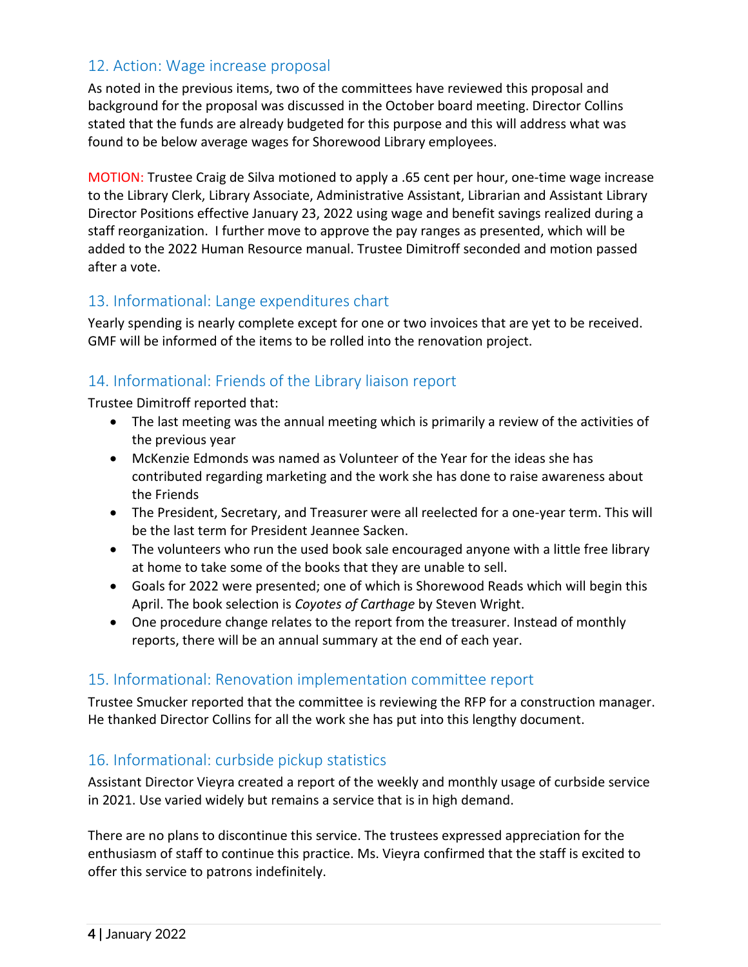## 12. Action: Wage increase proposal

As noted in the previous items, two of the committees have reviewed this proposal and background for the proposal was discussed in the October board meeting. Director Collins stated that the funds are already budgeted for this purpose and this will address what was found to be below average wages for Shorewood Library employees.

MOTION: Trustee Craig de Silva motioned to apply a .65 cent per hour, one-time wage increase to the Library Clerk, Library Associate, Administrative Assistant, Librarian and Assistant Library Director Positions effective January 23, 2022 using wage and benefit savings realized during a staff reorganization. I further move to approve the pay ranges as presented, which will be added to the 2022 Human Resource manual. Trustee Dimitroff seconded and motion passed after a vote.

#### 13. Informational: Lange expenditures chart

Yearly spending is nearly complete except for one or two invoices that are yet to be received. GMF will be informed of the items to be rolled into the renovation project.

## 14. Informational: Friends of the Library liaison report

Trustee Dimitroff reported that:

- The last meeting was the annual meeting which is primarily a review of the activities of the previous year
- McKenzie Edmonds was named as Volunteer of the Year for the ideas she has contributed regarding marketing and the work she has done to raise awareness about the Friends
- The President, Secretary, and Treasurer were all reelected for a one-year term. This will be the last term for President Jeannee Sacken.
- The volunteers who run the used book sale encouraged anyone with a little free library at home to take some of the books that they are unable to sell.
- Goals for 2022 were presented; one of which is Shorewood Reads which will begin this April. The book selection is *Coyotes of Carthage* by Steven Wright.
- One procedure change relates to the report from the treasurer. Instead of monthly reports, there will be an annual summary at the end of each year.

## 15. Informational: Renovation implementation committee report

Trustee Smucker reported that the committee is reviewing the RFP for a construction manager. He thanked Director Collins for all the work she has put into this lengthy document.

## 16. Informational: curbside pickup statistics

Assistant Director Vieyra created a report of the weekly and monthly usage of curbside service in 2021. Use varied widely but remains a service that is in high demand.

There are no plans to discontinue this service. The trustees expressed appreciation for the enthusiasm of staff to continue this practice. Ms. Vieyra confirmed that the staff is excited to offer this service to patrons indefinitely.